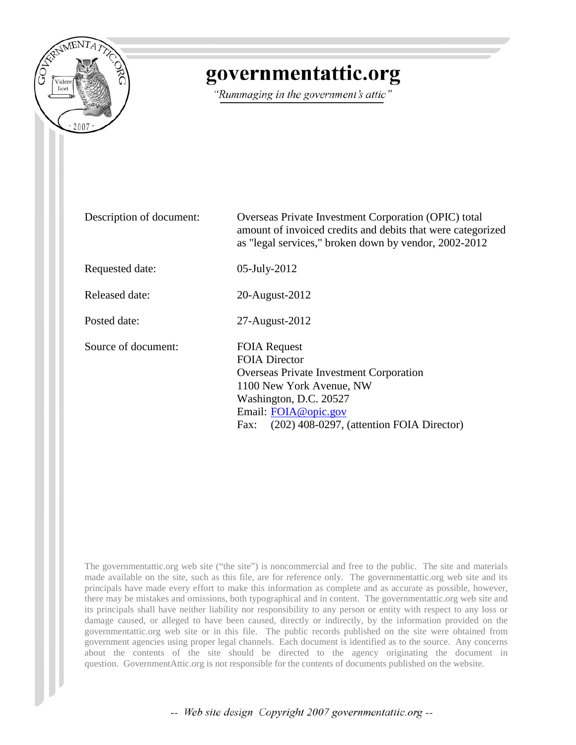

# governmentattic.org

"Rummaging in the government's attic"

| Description of document: | Overseas Private Investment Corporation (OPIC) total<br>amount of invoiced credits and debits that were categorized<br>as "legal services," broken down by vendor, 2002-2012                                                       |
|--------------------------|------------------------------------------------------------------------------------------------------------------------------------------------------------------------------------------------------------------------------------|
| Requested date:          | 05-July-2012                                                                                                                                                                                                                       |
| Released date:           | 20-August-2012                                                                                                                                                                                                                     |
| Posted date:             | 27-August-2012                                                                                                                                                                                                                     |
| Source of document:      | <b>FOIA Request</b><br><b>FOIA Director</b><br><b>Overseas Private Investment Corporation</b><br>1100 New York Avenue, NW<br>Washington, D.C. 20527<br>Email: FOIA@opic.gov<br>$(202)$ 408-0297, (attention FOIA Director)<br>Fax: |

The governmentattic.org web site ("the site") is noncommercial and free to the public. The site and materials made available on the site, such as this file, are for reference only. The governmentattic.org web site and its principals have made every effort to make this information as complete and as accurate as possible, however, there may be mistakes and omissions, both typographical and in content. The governmentattic.org web site and its principals shall have neither liability nor responsibility to any person or entity with respect to any loss or damage caused, or alleged to have been caused, directly or indirectly, by the information provided on the governmentattic.org web site or in this file. The public records published on the site were obtained from government agencies using proper legal channels. Each document is identified as to the source. Any concerns about the contents of the site should be directed to the agency originating the document in question. GovernmentAttic.org is not responsible for the contents of documents published on the website.

-- Web site design Copyright 2007 governmentattic.org --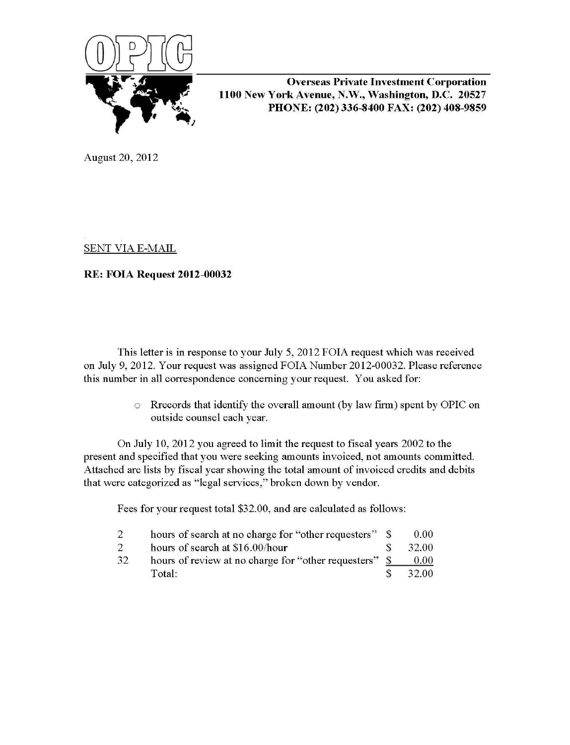

Overseas Private Investment Corporation 1100 New York Avenue, N.W., Washington, D.C. 20527 PHONE: (202) 336-8400 FAX: (202) 408-9859

August 20, 2012

SENT VIA E-MAIL

# RE: FOIA Request 2012-00032

This letter is in response to your July 5, 2012 FOIA request which was received on July 9, 2012. Your request was assigned FOIA Number 2012-00032. Please reference this number in all correspondence concerning your request. You asked for:

> o Rrecords that identify the overall amount (by law firm) spent by OPIC on outside counsel each year.

On July 10, 2012 you agreed to limit the request to fiscal years 2002 to the present and specified that you were seeking amounts invoiced, not amounts committed. Attached are lists by fiscal year showing the total amount of invoiced credits and debits that were categorized as "legal services," broken down by vendor.

Fees for your request total \$32.00, and are calculated as follows:

|    | hours of search at no charge for "other requesters" \$ | 0.00 <sub>1</sub> |
|----|--------------------------------------------------------|-------------------|
| 2  | hours of search at \$16.00/hour                        | 32.00             |
| 32 | hours of review at no charge for "other requesters" \$ | 0.00              |
|    | Total:                                                 | 32.00             |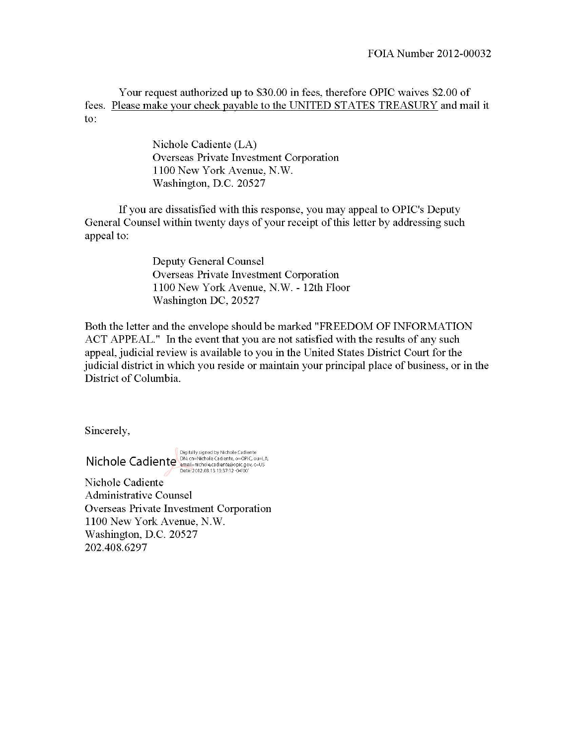Your request authorized up to \$30.00 in fees, therefore OPIC waives \$2.00 of fees. Please make your check payable to the UNITED STATES TREASURY and mail it to:

> Nichole Cadiente (LA) Overseas Private Investment Corporation 1100 New York Avenue, N.W. Washington, D.C. 20527

If you are dissatisfied with this response, you may appeal to OPIC's Deputy General Counsel within twenty days of your receipt of this letter by addressing such appeal to:

> Deputy General Counsel Overseas Private Investment Corporation 1100 New York Avenue, N.W.- 12th Floor Washington DC, 20527

Both the letter and the envelope should be marked "FREEDOM OF INFORMATION ACT APPEAL." In the event that you are not satisfied with the results of any such appeal, judicial review is available to you in the United States District Court for the judicial district in which you reside or maintain your principal place of business, or in the District of Columbia.

Sincerely,

Digitally signed by Nchole Cadiente<br>
Michole Cadiente Cadiente Cadiente<br>
Date: 2012.08.13 13:37:12 -04'00',c=US<br>
Date: 2012.08.13 13:37:12 -04'00'

Nichole Cadiente Administrative Counsel Overseas Private Investment Corporation 1100 New York Avenue, N.W. Washington, D.C. 20527 202.408.6297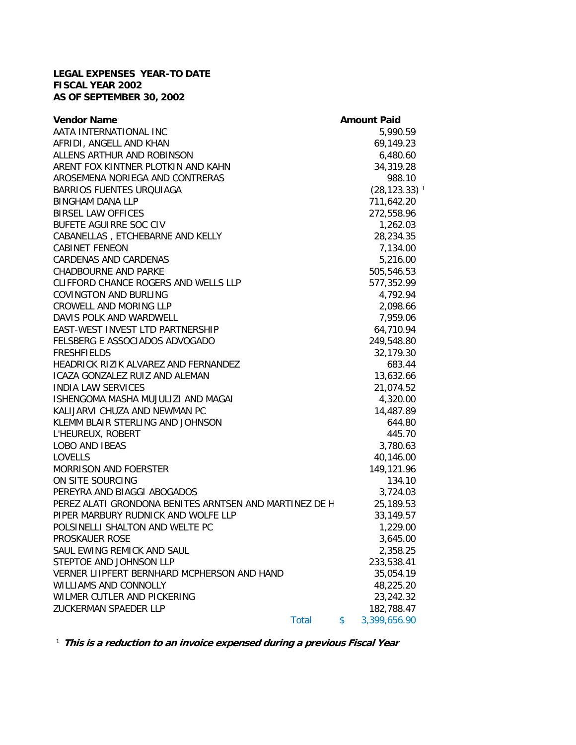## **LEGAL EXPENSES YEAR-TO DATE FISCAL YEAR 2002 AS OF SEPTEMBER 30, 2002**

| <b>Vendor Name</b>                                     | <b>Amount Paid</b>          |
|--------------------------------------------------------|-----------------------------|
| AATA INTERNATIONAL INC                                 | 5,990.59                    |
| AFRIDI, ANGELL AND KHAN                                | 69,149.23                   |
| ALLENS ARTHUR AND ROBINSON                             | 6,480.60                    |
| ARENT FOX KINTNER PLOTKIN AND KAHN                     | 34,319.28                   |
| AROSEMENA NORIEGA AND CONTRERAS                        | 988.10                      |
| <b>BARRIOS FUENTES URQUIAGA</b>                        | $(28, 123.33)$ <sup>1</sup> |
| <b>BINGHAM DANA LLP</b>                                | 711,642.20                  |
| <b>BIRSEL LAW OFFICES</b>                              | 272,558.96                  |
| BUFETE AGUIRRE SOC CIV                                 | 1,262.03                    |
| CABANELLAS, ETCHEBARNE AND KELLY                       | 28,234.35                   |
| <b>CABINET FENEON</b>                                  | 7,134.00                    |
| CARDENAS AND CARDENAS                                  | 5,216.00                    |
| <b>CHADBOURNE AND PARKE</b>                            | 505,546.53                  |
| CLIFFORD CHANCE ROGERS AND WELLS LLP                   | 577,352.99                  |
| <b>COVINGTON AND BURLING</b>                           | 4,792.94                    |
| CROWELL AND MORING LLP                                 | 2,098.66                    |
| DAVIS POLK AND WARDWELL                                | 7,959.06                    |
| EAST-WEST INVEST LTD PARTNERSHIP                       | 64,710.94                   |
| FELSBERG E ASSOCIADOS ADVOGADO                         | 249,548.80                  |
| <b>FRESHFIELDS</b>                                     | 32,179.30                   |
| HEADRICK RIZIK ALVAREZ AND FERNANDEZ                   | 683.44                      |
| ICAZA GONZALEZ RUIZ AND ALEMAN                         | 13,632.66                   |
| <b>INDIA LAW SERVICES</b>                              | 21,074.52                   |
| ISHENGOMA MASHA MUJULIZI AND MAGAI                     | 4,320.00                    |
| KALIJARVI CHUZA AND NEWMAN PC                          | 14,487.89                   |
| KLEMM BLAIR STERLING AND JOHNSON                       | 644.80                      |
| L'HEUREUX, ROBERT                                      | 445.70                      |
| LOBO AND IBEAS                                         | 3,780.63                    |
| <b>LOVELLS</b>                                         | 40,146.00                   |
| MORRISON AND FOERSTER                                  | 149,121.96                  |
| ON SITE SOURCING                                       | 134.10                      |
| PEREYRA AND BIAGGI ABOGADOS                            | 3,724.03                    |
| PEREZ ALATI GRONDONA BENITES ARNTSEN AND MARTINEZ DE H | 25,189.53                   |
| PIPER MARBURY RUDNICK AND WOLFE LLP                    | 33,149.57                   |
| POLSINELLI SHALTON AND WELTE PC                        | 1,229.00                    |
| PROSKAUER ROSE                                         | 3,645.00                    |
| SAUL EWING REMICK AND SAUL                             | 2,358.25                    |
| STEPTOE AND JOHNSON LLP                                | 233,538.41                  |
| VERNER LIIPFERT BERNHARD MCPHERSON AND HAND            | 35,054.19                   |
| <b>WILLIAMS AND CONNOLLY</b>                           | 48,225.20                   |
| WILMER CUTLER AND PICKERING                            | 23,242.32                   |
| ZUCKERMAN SPAEDER LLP                                  | 182,788.47                  |
| <b>Total</b>                                           | \$<br>3,399,656.90          |
|                                                        |                             |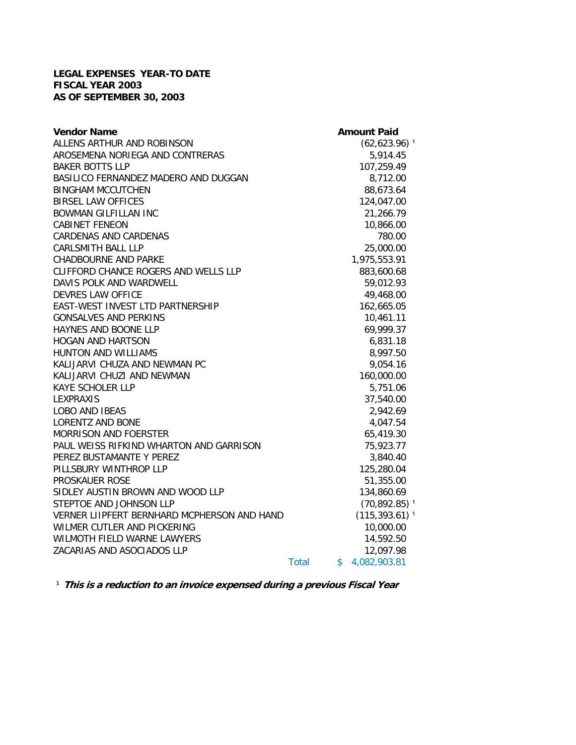## **LEGAL EXPENSES YEAR-TO DATE FISCAL YEAR 2003 AS OF SEPTEMBER 30, 2003**

| <b>Vendor Name</b>                          |              | <b>Amount Paid</b>           |
|---------------------------------------------|--------------|------------------------------|
| ALLENS ARTHUR AND ROBINSON                  |              | $(62,623.96)$ <sup>1</sup>   |
| AROSEMENA NORIEGA AND CONTRERAS             |              | 5,914.45                     |
| <b>BAKER BOTTS LLP</b>                      |              | 107,259.49                   |
| BASILICO FERNANDEZ MADERO AND DUGGAN        |              | 8,712.00                     |
| <b>BINGHAM MCCUTCHEN</b>                    |              | 88,673.64                    |
| <b>BIRSEL LAW OFFICES</b>                   |              | 124,047.00                   |
| <b>BOWMAN GILFILLAN INC</b>                 |              | 21,266.79                    |
| <b>CABINET FENEON</b>                       |              | 10,866.00                    |
| <b>CARDENAS AND CARDENAS</b>                |              | 780.00                       |
| <b>CARLSMITH BALL LLP</b>                   |              | 25,000.00                    |
| <b>CHADBOURNE AND PARKE</b>                 |              | 1,975,553.91                 |
| CLIFFORD CHANCE ROGERS AND WELLS LLP        |              | 883,600.68                   |
| DAVIS POLK AND WARDWELL                     |              | 59,012.93                    |
| DEVRES LAW OFFICE                           |              | 49,468.00                    |
| EAST-WEST INVEST LTD PARTNERSHIP            |              | 162,665.05                   |
| <b>GONSALVES AND PERKINS</b>                |              | 10,461.11                    |
| HAYNES AND BOONE LLP                        |              | 69,999.37                    |
| <b>HOGAN AND HARTSON</b>                    |              | 6,831.18                     |
| HUNTON AND WILLIAMS                         |              | 8,997.50                     |
| KALIJARVI CHUZA AND NEWMAN PC               |              | 9,054.16                     |
| KALIJARVI CHUZI AND NEWMAN                  |              | 160,000.00                   |
| <b>KAYE SCHOLER LLP</b>                     |              | 5,751.06                     |
| <b>LEXPRAXIS</b>                            |              | 37,540.00                    |
| <b>LOBO AND IBEAS</b>                       |              | 2,942.69                     |
| <b>LORENTZ AND BONE</b>                     |              | 4,047.54                     |
| <b>MORRISON AND FOERSTER</b>                |              | 65,419.30                    |
| PAUL WEISS RIFKIND WHARTON AND GARRISON     |              | 75,923.77                    |
| PEREZ BUSTAMANTE Y PEREZ                    |              | 3,840.40                     |
| PILLSBURY WINTHROP LLP                      |              | 125,280.04                   |
| <b>PROSKAUER ROSE</b>                       |              | 51,355.00                    |
| SIDLEY AUSTIN BROWN AND WOOD LLP            |              | 134,860.69                   |
| STEPTOE AND JOHNSON LLP                     |              | $(70, 892.85)$ <sup>1</sup>  |
| VERNER LIIPFERT BERNHARD MCPHERSON AND HAND |              | $(115, 393.61)$ <sup>1</sup> |
| WILMER CUTLER AND PICKERING                 |              | 10,000.00                    |
| WILMOTH FIELD WARNE LAWYERS                 |              | 14,592.50                    |
| ZACARIAS AND ASOCIADOS LLP                  |              | 12,097.98                    |
|                                             | <b>Total</b> | \$<br>4,082,903.81           |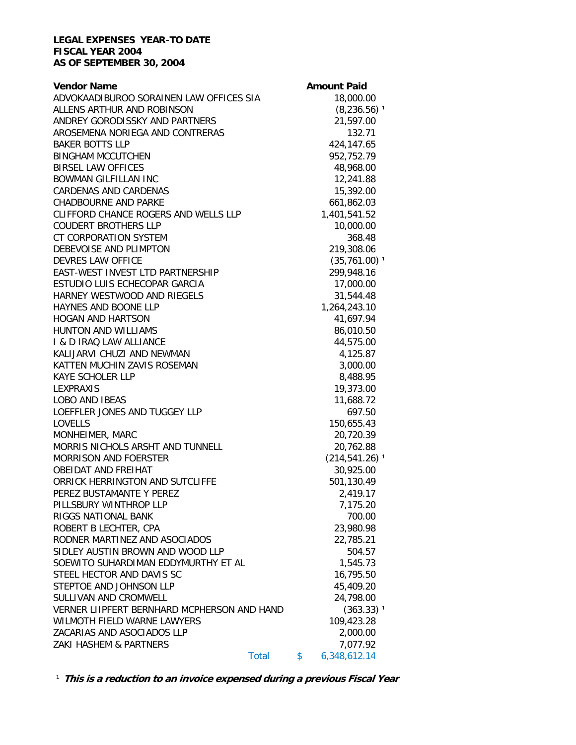#### **LEGAL EXPENSES YEAR-TO DATE FISCAL YEAR 2004 AS OF SEPTEMBER 30, 2004**

| <b>Vendor Name</b>                          |              | <b>Amount Paid</b>           |
|---------------------------------------------|--------------|------------------------------|
| ADVOKAADIBUROO SORAINEN LAW OFFICES SIA     |              | 18,000.00                    |
| ALLENS ARTHUR AND ROBINSON                  |              | $(8, 236.56)$ <sup>1</sup>   |
| ANDREY GORODISSKY AND PARTNERS              |              | 21,597.00                    |
| AROSEMENA NORIEGA AND CONTRERAS             |              | 132.71                       |
| <b>BAKER BOTTS LLP</b>                      |              | 424,147.65                   |
| <b>BINGHAM MCCUTCHEN</b>                    |              | 952,752.79                   |
| <b>BIRSEL LAW OFFICES</b>                   |              | 48,968.00                    |
| <b>BOWMAN GILFILLAN INC</b>                 |              | 12,241.88                    |
| <b>CARDENAS AND CARDENAS</b>                |              | 15,392.00                    |
| <b>CHADBOURNE AND PARKE</b>                 |              | 661,862.03                   |
| CLIFFORD CHANCE ROGERS AND WELLS LLP        |              | 1,401,541.52                 |
| <b>COUDERT BROTHERS LLP</b>                 |              | 10,000.00                    |
| CT CORPORATION SYSTEM                       |              | 368.48                       |
| DEBEVOISE AND PLIMPTON                      |              | 219,308.06                   |
| DEVRES LAW OFFICE                           |              | $(35,761.00)^{-1}$           |
| EAST-WEST INVEST LTD PARTNERSHIP            |              | 299,948.16                   |
| ESTUDIO LUIS ECHECOPAR GARCIA               |              | 17,000.00                    |
| HARNEY WESTWOOD AND RIEGELS                 |              | 31,544.48                    |
| HAYNES AND BOONE LLP                        |              | 1,264,243.10                 |
| <b>HOGAN AND HARTSON</b>                    |              | 41,697.94                    |
| HUNTON AND WILLIAMS                         |              | 86,010.50                    |
| I & D IRAQ LAW ALLIANCE                     |              | 44,575.00                    |
| KALIJARVI CHUZI AND NEWMAN                  |              | 4,125.87                     |
| KATTEN MUCHIN ZAVIS ROSEMAN                 |              | 3,000.00                     |
| KAYE SCHOLER LLP                            |              | 8,488.95                     |
| LEXPRAXIS                                   |              | 19,373.00                    |
| LOBO AND IBEAS                              |              | 11,688.72                    |
| LOEFFLER JONES AND TUGGEY LLP               |              | 697.50                       |
| <b>LOVELLS</b>                              |              | 150,655.43                   |
| MONHEIMER, MARC                             |              | 20,720.39                    |
| MORRIS NICHOLS ARSHT AND TUNNELL            |              | 20,762.88                    |
| <b>MORRISON AND FOERSTER</b>                |              | $(214, 541.26)$ <sup>1</sup> |
| <b>OBEIDAT AND FREIHAT</b>                  |              | 30,925.00                    |
| ORRICK HERRINGTON AND SUTCLIFFE             |              | 501,130.49                   |
| PEREZ BUSTAMANTE Y PEREZ                    |              | 2,419.17                     |
| PILLSBURY WINTHROP LLP                      |              | 7,175.20                     |
| RIGGS NATIONAL BANK                         |              | 700.00                       |
| ROBERT B LECHTER, CPA                       |              | 23,980.98                    |
| RODNER MARTINEZ AND ASOCIADOS               |              | 22,785.21                    |
| SIDLEY AUSTIN BROWN AND WOOD LLP            |              | 504.57                       |
| SOEWITO SUHARDIMAN EDDYMURTHY ET AL         |              | 1,545.73                     |
| STEEL HECTOR AND DAVIS SC                   |              | 16,795.50                    |
| STEPTOE AND JOHNSON LLP                     |              | 45,409.20                    |
| SULLIVAN AND CROMWELL                       |              | 24,798.00                    |
| VERNER LIIPFERT BERNHARD MCPHERSON AND HAND |              | $(363.33)$ <sup>1</sup>      |
| WILMOTH FIELD WARNE LAWYERS                 |              | 109,423.28                   |
| ZACARIAS AND ASOCIADOS LLP                  |              | 2,000.00                     |
| ZAKI HASHEM & PARTNERS                      |              | 7,077.92                     |
|                                             | <b>Total</b> | \$<br>6,348,612.14           |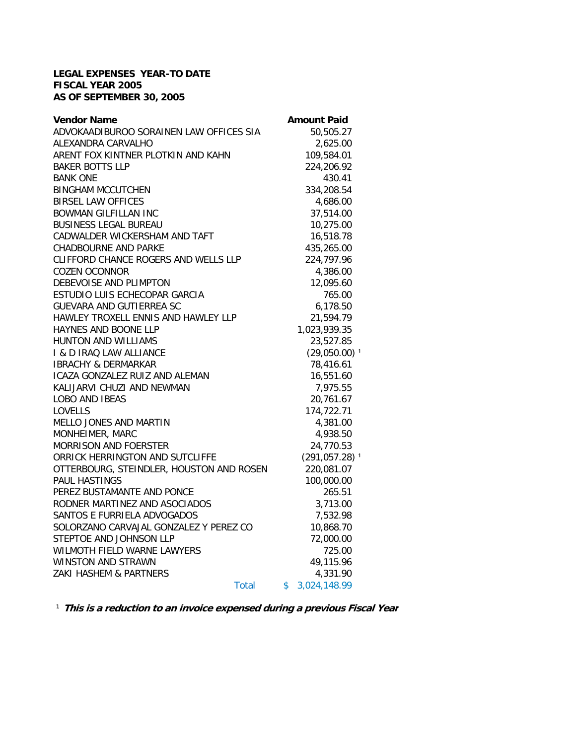## **LEGAL EXPENSES YEAR-TO DATE FISCAL YEAR 2005 AS OF SEPTEMBER 30, 2005**

| <b>Vendor Name</b>                       | <b>Amount Paid</b>           |
|------------------------------------------|------------------------------|
| ADVOKAADIBUROO SORAINEN LAW OFFICES SIA  | 50,505.27                    |
| ALEXANDRA CARVALHO                       | 2,625.00                     |
| ARENT FOX KINTNER PLOTKIN AND KAHN       | 109,584.01                   |
| <b>BAKER BOTTS LLP</b>                   | 224,206.92                   |
| <b>BANK ONE</b>                          | 430.41                       |
| <b>BINGHAM MCCUTCHEN</b>                 | 334,208.54                   |
| <b>BIRSEL LAW OFFICES</b>                | 4,686.00                     |
| <b>BOWMAN GILFILLAN INC</b>              | 37,514.00                    |
| <b>BUSINESS LEGAL BUREAU</b>             | 10,275.00                    |
| CADWALDER WICKERSHAM AND TAFT            | 16,518.78                    |
| <b>CHADBOURNE AND PARKE</b>              | 435,265.00                   |
| CLIFFORD CHANCE ROGERS AND WELLS LLP     | 224,797.96                   |
| <b>COZEN OCONNOR</b>                     | 4,386.00                     |
| DEBEVOISE AND PLIMPTON                   | 12,095.60                    |
| ESTUDIO LUIS ECHECOPAR GARCIA            | 765.00                       |
| <b>GUEVARA AND GUTIERREA SC</b>          | 6,178.50                     |
| HAWLEY TROXELL ENNIS AND HAWLEY LLP      | 21,594.79                    |
| HAYNES AND BOONE LLP                     | 1,023,939.35                 |
| <b>HUNTON AND WILLIAMS</b>               | 23,527.85                    |
| I & D IRAQ LAW ALLIANCE                  | $(29,050.00)$ <sup>1</sup>   |
| <b>IBRACHY &amp; DERMARKAR</b>           | 78,416.61                    |
| ICAZA GONZALEZ RUIZ AND ALEMAN           | 16,551.60                    |
| KALIJARVI CHUZI AND NEWMAN               | 7,975.55                     |
| <b>LOBO AND IBEAS</b>                    | 20,761.67                    |
| <b>LOVELLS</b>                           | 174,722.71                   |
| MELLO JONES AND MARTIN                   | 4,381.00                     |
| MONHEIMER, MARC                          | 4,938.50                     |
| <b>MORRISON AND FOERSTER</b>             | 24,770.53                    |
| ORRICK HERRINGTON AND SUTCLIFFE          | $(291, 057.28)$ <sup>1</sup> |
| OTTERBOURG, STEINDLER, HOUSTON AND ROSEN | 220,081.07                   |
| PAUL HASTINGS                            | 100,000.00                   |
| PEREZ BUSTAMANTE AND PONCE               | 265.51                       |
| RODNER MARTINEZ AND ASOCIADOS            | 3,713.00                     |
| SANTOS E FURRIELA ADVOGADOS              | 7,532.98                     |
| SOLORZANO CARVAJAL GONZALEZ Y PEREZ CO   | 10,868.70                    |
| STEPTOE AND JOHNSON LLP                  | 72,000.00                    |
| WILMOTH FIELD WARNE LAWYERS              | 725.00                       |
| WINSTON AND STRAWN                       | 49,115.96                    |
| ZAKI HASHEM & PARTNERS                   | 4,331.90                     |
| Total                                    | \$<br>3,024,148.99           |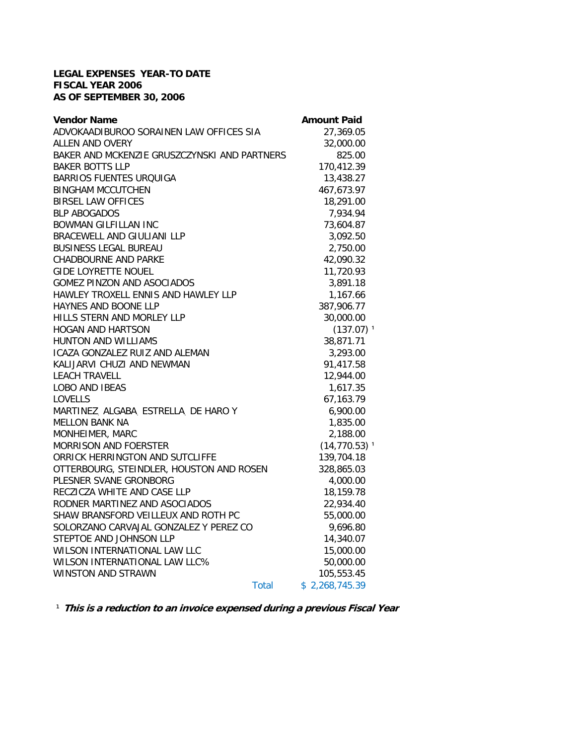## **LEGAL EXPENSES YEAR-TO DATE FISCAL YEAR 2006 AS OF SEPTEMBER 30, 2006**

| <b>Vendor Name</b>                           | <b>Amount Paid</b>          |
|----------------------------------------------|-----------------------------|
| ADVOKAADIBUROO SORAINEN LAW OFFICES SIA      | 27,369.05                   |
| ALLEN AND OVERY                              | 32,000.00                   |
| BAKER AND MCKENZIE GRUSZCZYNSKI AND PARTNERS | 825.00                      |
| <b>BAKER BOTTS LLP</b>                       | 170,412.39                  |
| <b>BARRIOS FUENTES URQUIGA</b>               | 13,438.27                   |
| <b>BINGHAM MCCUTCHEN</b>                     | 467,673.97                  |
| <b>BIRSEL LAW OFFICES</b>                    | 18,291.00                   |
| <b>BLP ABOGADOS</b>                          | 7,934.94                    |
| <b>BOWMAN GILFILLAN INC</b>                  | 73,604.87                   |
| BRACEWELL AND GIULIANI LLP                   | 3,092.50                    |
| <b>BUSINESS LEGAL BUREAU</b>                 | 2,750.00                    |
| <b>CHADBOURNE AND PARKE</b>                  | 42,090.32                   |
| <b>GIDE LOYRETTE NOUEL</b>                   | 11,720.93                   |
| <b>GOMEZ PINZON AND ASOCIADOS</b>            | 3,891.18                    |
| HAWLEY TROXELL ENNIS AND HAWLEY LLP          | 1,167.66                    |
| HAYNES AND BOONE LLP                         | 387,906.77                  |
| HILLS STERN AND MORLEY LLP                   | 30,000.00                   |
| <b>HOGAN AND HARTSON</b>                     | $(137.07)^1$                |
| HUNTON AND WILLIAMS                          | 38,871.71                   |
| ICAZA GONZALEZ RUIZ AND ALEMAN               | 3,293.00                    |
| KALIJARVI CHUZI AND NEWMAN                   | 91,417.58                   |
| <b>LEACH TRAVELL</b>                         | 12,944.00                   |
| <b>LOBO AND IBEAS</b>                        | 1,617.35                    |
| LOVELLS                                      | 67,163.79                   |
| MARTINEZ ALGABA ESTRELLA DE HARO Y           | 6,900.00                    |
| <b>MELLON BANK NA</b>                        | 1,835.00                    |
| MONHEIMER, MARC                              | 2,188.00                    |
| <b>MORRISON AND FOERSTER</b>                 | $(14, 770.53)$ <sup>1</sup> |
| ORRICK HERRINGTON AND SUTCLIFFE              | 139,704.18                  |
| OTTERBOURG, STEINDLER, HOUSTON AND ROSEN     | 328,865.03                  |
| PLESNER SVANE GRONBORG                       | 4,000.00                    |
| RECZICZA WHITE AND CASE LLP                  | 18,159.78                   |
| RODNER MARTINEZ AND ASOCIADOS                | 22,934.40                   |
| SHAW BRANSFORD VEILLEUX AND ROTH PC          | 55,000.00                   |
| SOLORZANO CARVAJAL GONZALEZ Y PEREZ CO       | 9,696.80                    |
| STEPTOE AND JOHNSON LLP                      | 14,340.07                   |
| WILSON INTERNATIONAL LAW LLC                 | 15,000.00                   |
| WILSON INTERNATIONAL LAW LLC%                | 50,000.00                   |
| WINSTON AND STRAWN                           | 105,553.45                  |
| Total                                        | \$2,268,745.39              |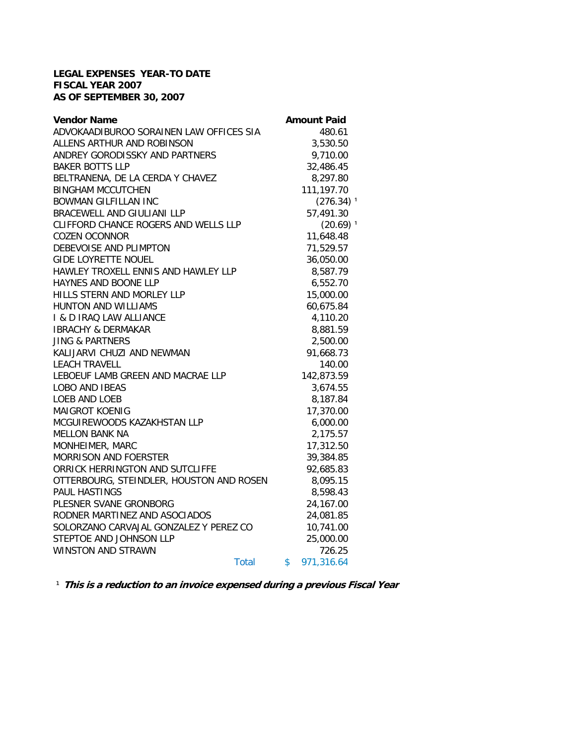## **LEGAL EXPENSES YEAR-TO DATE FISCAL YEAR 2007 AS OF SEPTEMBER 30, 2007**

| <b>Vendor Name</b>                       |              | <b>Amount Paid</b>      |
|------------------------------------------|--------------|-------------------------|
| ADVOKAADIBUROO SORAINEN LAW OFFICES SIA  |              | 480.61                  |
| ALLENS ARTHUR AND ROBINSON               |              | 3,530.50                |
| ANDREY GORODISSKY AND PARTNERS           |              | 9,710.00                |
| <b>BAKER BOTTS LLP</b>                   |              | 32,486.45               |
| BELTRANENA, DE LA CERDA Y CHAVEZ         |              | 8,297.80                |
| <b>BINGHAM MCCUTCHEN</b>                 |              | 111,197.70              |
| <b>BOWMAN GILFILLAN INC</b>              |              | $(276.34)$ <sup>1</sup> |
| BRACEWELL AND GIULIANI LLP               |              | 57,491.30               |
| CLIFFORD CHANCE ROGERS AND WELLS LLP     |              | $(20.69)$ <sup>1</sup>  |
| <b>COZEN OCONNOR</b>                     |              | 11,648.48               |
| DEBEVOISE AND PLIMPTON                   |              | 71,529.57               |
| <b>GIDE LOYRETTE NOUEL</b>               |              | 36,050.00               |
| HAWLEY TROXELL ENNIS AND HAWLEY LLP      |              | 8,587.79                |
| HAYNES AND BOONE LLP                     |              | 6,552.70                |
| HILLS STERN AND MORLEY LLP               |              | 15,000.00               |
| HUNTON AND WILLIAMS                      |              | 60,675.84               |
| I & D IRAQ LAW ALLIANCE                  |              | 4,110.20                |
| <b>IBRACHY &amp; DERMAKAR</b>            |              | 8,881.59                |
| <b>JING &amp; PARTNERS</b>               |              | 2,500.00                |
| KALIJARVI CHUZI AND NEWMAN               |              | 91,668.73               |
| <b>LEACH TRAVELL</b>                     |              | 140.00                  |
| LEBOEUF LAMB GREEN AND MACRAE LLP        |              | 142,873.59              |
| <b>LOBO AND IBEAS</b>                    |              | 3,674.55                |
| LOEB AND LOEB                            |              | 8,187.84                |
| <b>MAIGROT KOENIG</b>                    |              | 17,370.00               |
| MCGUIREWOODS KAZAKHSTAN LLP              |              | 6,000.00                |
| <b>MELLON BANK NA</b>                    |              | 2,175.57                |
| MONHEIMER, MARC                          |              | 17,312.50               |
| <b>MORRISON AND FOERSTER</b>             |              | 39,384.85               |
| ORRICK HERRINGTON AND SUTCLIFFE          |              | 92,685.83               |
| OTTERBOURG, STEINDLER, HOUSTON AND ROSEN |              | 8,095.15                |
| <b>PAUL HASTINGS</b>                     |              | 8,598.43                |
| PLESNER SVANE GRONBORG                   |              | 24,167.00               |
| RODNER MARTINEZ AND ASOCIADOS            |              | 24,081.85               |
| SOLORZANO CARVAJAL GONZALEZ Y PEREZ CO   |              | 10,741.00               |
| STEPTOE AND JOHNSON LLP                  |              | 25,000.00               |
| <b>WINSTON AND STRAWN</b>                |              | 726.25                  |
|                                          | <b>Total</b> | \$<br>971,316.64        |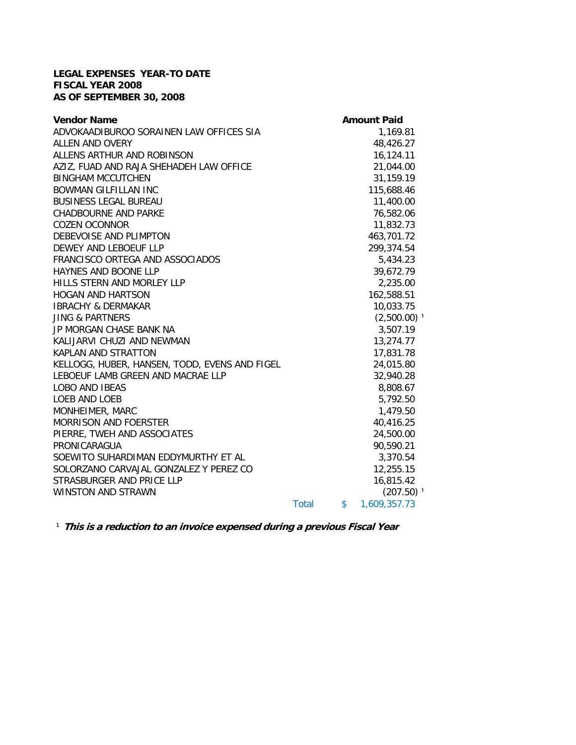## **LEGAL EXPENSES YEAR-TO DATE FISCAL YEAR 2008 AS OF SEPTEMBER 30, 2008**

| <b>Vendor Name</b>                            |       |              | <b>Amount Paid</b>        |
|-----------------------------------------------|-------|--------------|---------------------------|
| ADVOKAADIBUROO SORAINEN LAW OFFICES SIA       |       |              | 1,169.81                  |
| <b>ALLEN AND OVERY</b>                        |       |              | 48,426.27                 |
| ALLENS ARTHUR AND ROBINSON                    |       |              | 16,124.11                 |
| AZIZ, FUAD AND RAJA SHEHADEH LAW OFFICE       |       |              | 21,044.00                 |
| <b>BINGHAM MCCUTCHEN</b>                      |       |              | 31,159.19                 |
| <b>BOWMAN GILFILLAN INC</b>                   |       |              | 115,688.46                |
| <b>BUSINESS LEGAL BUREAU</b>                  |       |              | 11,400.00                 |
| <b>CHADBOURNE AND PARKE</b>                   |       |              | 76,582.06                 |
| <b>COZEN OCONNOR</b>                          |       |              | 11,832.73                 |
| DEBEVOISE AND PLIMPTON                        |       |              | 463,701.72                |
| DEWEY AND LEBOEUF LLP                         |       |              | 299,374.54                |
| FRANCISCO ORTEGA AND ASSOCIADOS               |       |              | 5,434.23                  |
| HAYNES AND BOONE LLP                          |       |              | 39,672.79                 |
| HILLS STERN AND MORLEY LLP                    |       |              | 2,235.00                  |
| <b>HOGAN AND HARTSON</b>                      |       |              | 162,588.51                |
| <b>IBRACHY &amp; DERMAKAR</b>                 |       |              | 10,033.75                 |
| <b>JING &amp; PARTNERS</b>                    |       |              | $(2,500.00)$ <sup>1</sup> |
| JP MORGAN CHASE BANK NA                       |       |              | 3,507.19                  |
| KALIJARVI CHUZI AND NEWMAN                    |       |              | 13,274.77                 |
| <b>KAPLAN AND STRATTON</b>                    |       |              | 17,831.78                 |
| KELLOGG, HUBER, HANSEN, TODD, EVENS AND FIGEL |       |              | 24,015.80                 |
| LEBOEUF LAMB GREEN AND MACRAE LLP             |       |              | 32,940.28                 |
| LOBO AND IBEAS                                |       |              | 8,808.67                  |
| LOEB AND LOEB                                 |       |              | 5,792.50                  |
| MONHEIMER, MARC                               |       |              | 1,479.50                  |
| <b>MORRISON AND FOERSTER</b>                  |       |              | 40,416.25                 |
| PIERRE, TWEH AND ASSOCIATES                   |       |              | 24,500.00                 |
| PRONICARAGUA                                  |       |              | 90,590.21                 |
| SOEWITO SUHARDIMAN EDDYMURTHY ET AL           |       |              | 3,370.54                  |
| SOLORZANO CARVAJAL GONZALEZ Y PEREZ CO        |       |              | 12,255.15                 |
| STRASBURGER AND PRICE LLP                     |       |              | 16,815.42                 |
| <b>WINSTON AND STRAWN</b>                     |       |              | $(207.50)$ <sup>1</sup>   |
|                                               | Total | $\mathsf{s}$ | 1,609,357.73              |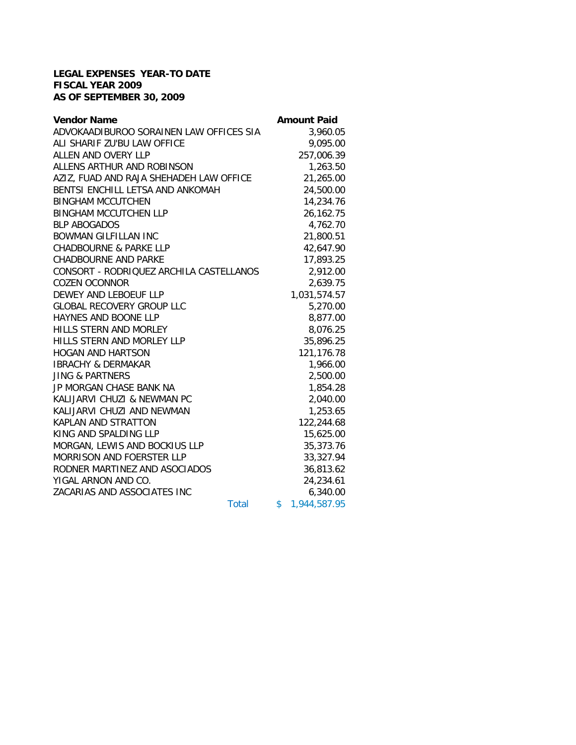## **LEGAL EXPENSES YEAR-TO DATE FISCAL YEAR 2009 AS OF SEPTEMBER 30, 2009**

| <b>Vendor Name</b>                      |       | <b>Amount Paid</b> |
|-----------------------------------------|-------|--------------------|
| ADVOKAADIBUROO SORAINEN LAW OFFICES SIA |       | 3,960.05           |
| ALI SHARIF ZU'BU LAW OFFICE             |       | 9,095.00           |
| ALLEN AND OVERY LLP                     |       | 257,006.39         |
| ALLENS ARTHUR AND ROBINSON              |       | 1,263.50           |
| AZIZ, FUAD AND RAJA SHEHADEH LAW OFFICE |       | 21,265.00          |
| BENTSI ENCHILL LETSA AND ANKOMAH        |       | 24,500.00          |
| <b>BINGHAM MCCUTCHEN</b>                |       | 14,234.76          |
| <b>BINGHAM MCCUTCHEN LLP</b>            |       | 26,162.75          |
| <b>BLP ABOGADOS</b>                     |       | 4,762.70           |
| <b>BOWMAN GILFILLAN INC</b>             |       | 21,800.51          |
| <b>CHADBOURNE &amp; PARKE LLP</b>       |       | 42,647.90          |
| <b>CHADBOURNE AND PARKE</b>             |       | 17,893.25          |
| CONSORT - RODRIQUEZ ARCHILA CASTELLANOS |       | 2,912.00           |
| <b>COZEN OCONNOR</b>                    |       | 2,639.75           |
| DEWEY AND LEBOEUF LLP                   |       | 1,031,574.57       |
| <b>GLOBAL RECOVERY GROUP LLC</b>        |       | 5,270.00           |
| <b>HAYNES AND BOONE LLP</b>             |       | 8,877.00           |
| <b>HILLS STERN AND MORLEY</b>           |       | 8,076.25           |
| HILLS STERN AND MORLEY LLP              |       | 35,896.25          |
| <b>HOGAN AND HARTSON</b>                |       | 121,176.78         |
| <b>IBRACHY &amp; DERMAKAR</b>           |       | 1,966.00           |
| <b>JING &amp; PARTNERS</b>              |       | 2,500.00           |
| JP MORGAN CHASE BANK NA                 |       | 1,854.28           |
| KALIJARVI CHUZI & NEWMAN PC             |       | 2,040.00           |
| KALIJARVI CHUZI AND NEWMAN              |       | 1,253.65           |
| <b>KAPLAN AND STRATTON</b>              |       | 122,244.68         |
| KING AND SPALDING LLP                   |       | 15,625.00          |
| MORGAN, LEWIS AND BOCKIUS LLP           |       | 35,373.76          |
| <b>MORRISON AND FOERSTER LLP</b>        |       | 33,327.94          |
| RODNER MARTINEZ AND ASOCIADOS           |       | 36,813.62          |
| YIGAL ARNON AND CO.                     |       | 24,234.61          |
| ZACARIAS AND ASSOCIATES INC             |       | 6,340.00           |
|                                         | Total | \$<br>1,944,587.95 |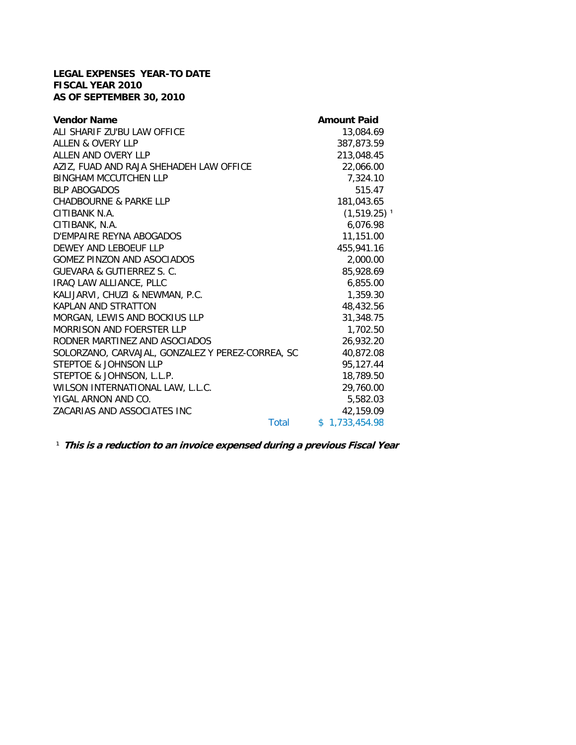## **LEGAL EXPENSES YEAR-TO DATE FISCAL YEAR 2010 AS OF SEPTEMBER 30, 2010**

| <b>Vendor Name</b>                               | <b>Amount Paid</b>        |
|--------------------------------------------------|---------------------------|
| ALI SHARIF ZU'BU LAW OFFICE                      | 13,084.69                 |
| ALLEN & OVERY LLP                                | 387,873.59                |
| ALLEN AND OVERY LLP                              | 213,048.45                |
| AZIZ, FUAD AND RAJA SHEHADEH LAW OFFICE          | 22,066.00                 |
| <b>BINGHAM MCCUTCHEN LLP</b>                     | 7,324.10                  |
| <b>BLP ABOGADOS</b>                              | 515.47                    |
| <b>CHADBOURNE &amp; PARKE LLP</b>                | 181,043.65                |
| CITIBANK N.A.                                    | $(1,519.25)$ <sup>1</sup> |
| CITIBANK, N.A.                                   | 6,076.98                  |
| D'EMPAIRE REYNA ABOGADOS                         | 11,151.00                 |
| DEWEY AND LEBOEUF LLP                            | 455,941.16                |
| <b>GOMEZ PINZON AND ASOCIADOS</b>                | 2,000.00                  |
| GUEVARA & GUTIERREZ S. C.                        | 85,928.69                 |
| IRAQ LAW ALLIANCE, PLLC                          | 6,855.00                  |
| KALIJARVI, CHUZI & NEWMAN, P.C.                  | 1,359.30                  |
| <b>KAPLAN AND STRATTON</b>                       | 48,432.56                 |
| MORGAN, LEWIS AND BOCKIUS LLP                    | 31,348.75                 |
| <b>MORRISON AND FOERSTER LLP</b>                 | 1,702.50                  |
| RODNER MARTINEZ AND ASOCIADOS                    | 26,932.20                 |
| SOLORZANO, CARVAJAL, GONZALEZ Y PEREZ-CORREA, SC | 40,872.08                 |
| <b>STEPTOE &amp; JOHNSON LLP</b>                 | 95,127.44                 |
| STEPTOE & JOHNSON, L.L.P.                        | 18,789.50                 |
| WILSON INTERNATIONAL LAW, L.L.C.                 | 29,760.00                 |
| YIGAL ARNON AND CO.                              | 5,582.03                  |
| ZACARIAS AND ASSOCIATES INC                      | 42,159.09                 |
| Total                                            | \$1,733,454.98            |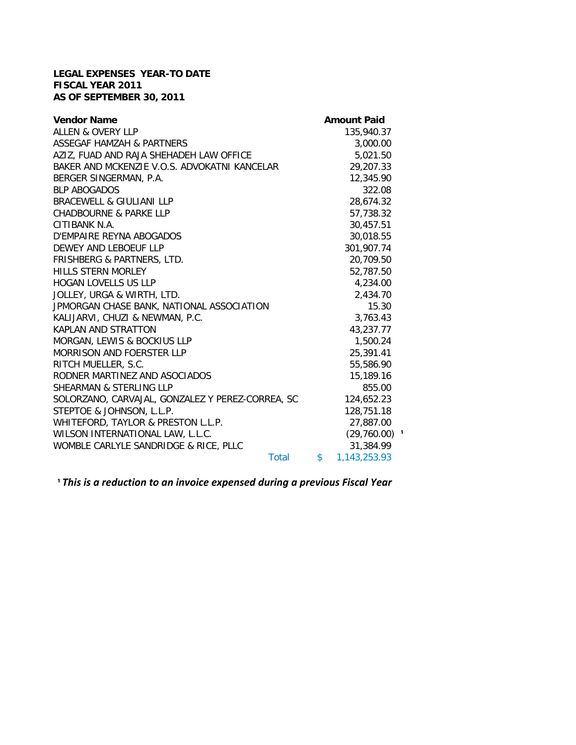## **LEGAL EXPENSES YEAR-TO DATE FISCAL YEAR 2011 AS OF SEPTEMBER 30, 2011**

| <b>Vendor Name</b>                               | <b>Amount Paid</b>         |
|--------------------------------------------------|----------------------------|
| <b>ALLEN &amp; OVERY LLP</b>                     | 135,940.37                 |
| <b>ASSEGAF HAMZAH &amp; PARTNERS</b>             | 3,000.00                   |
| AZIZ, FUAD AND RAJA SHEHADEH LAW OFFICE          | 5,021.50                   |
| BAKER AND MCKENZIE V.O.S. ADVOKATNI KANCELAR     | 29,207.33                  |
| BERGER SINGERMAN, P.A.                           | 12,345.90                  |
| <b>BLP ABOGADOS</b>                              | 322.08                     |
| <b>BRACEWELL &amp; GIULIANI LLP</b>              | 28,674.32                  |
| <b>CHADBOURNE &amp; PARKE LLP</b>                | 57,738.32                  |
| CITIBANK N.A.                                    | 30,457.51                  |
| D'EMPAIRE REYNA ABOGADOS                         | 30,018.55                  |
| DEWEY AND LEBOEUF LLP                            | 301,907.74                 |
| FRISHBERG & PARTNERS, LTD.                       | 20,709.50                  |
| <b>HILLS STERN MORLEY</b>                        | 52,787.50                  |
| HOGAN LOVELLS US LLP                             | 4,234.00                   |
| JOLLEY, URGA & WIRTH, LTD.                       | 2,434.70                   |
| JPMORGAN CHASE BANK, NATIONAL ASSOCIATION        | 15.30                      |
| KALIJARVI, CHUZI & NEWMAN, P.C.                  | 3,763.43                   |
| KAPLAN AND STRATTON                              | 43,237.77                  |
| MORGAN, LEWIS & BOCKIUS LLP                      | 1,500.24                   |
| <b>MORRISON AND FOERSTER LLP</b>                 | 25,391.41                  |
| RITCH MUELLER, S.C.                              | 55,586.90                  |
| RODNER MARTINEZ AND ASOCIADOS                    | 15,189.16                  |
| <b>SHEARMAN &amp; STERLING LLP</b>               | 855.00                     |
| SOLORZANO, CARVAJAL, GONZALEZ Y PEREZ-CORREA, SC | 124,652.23                 |
| STEPTOE & JOHNSON, L.L.P.                        | 128,751.18                 |
| WHITEFORD, TAYLOR & PRESTON L.L.P.               | 27,887.00                  |
| WILSON INTERNATIONAL LAW, L.L.C.                 | $(29,760.00)$ <sup>1</sup> |
| WOMBLE CARLYLE SANDRIDGE & RICE, PLLC            | 31,384.99                  |
| <b>Total</b>                                     | \$<br>1,143,253.93         |